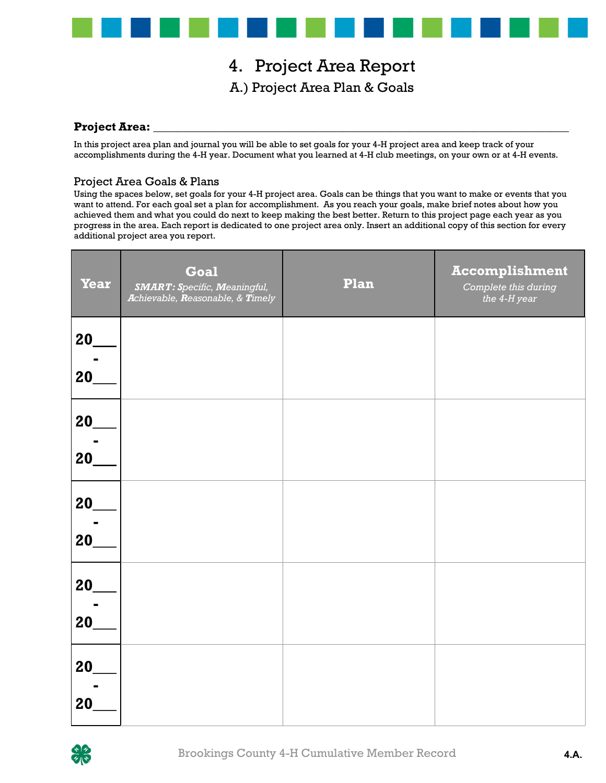

### 4. Project Area Report A.) Project Area Plan & Goals

#### **Project Area:**

In this project area plan and journal you will be able to set goals for your 4-H project area and keep track of your accomplishments during the 4-H year. Document what you learned at 4-H club meetings, on your own or at 4-H events.

#### Project Area Goals & Plans

Using the spaces below, set goals for your 4-H project area. Goals can be things that you want to make or events that you want to attend. For each goal set a plan for accomplishment. As you reach your goals, make brief notes about how you achieved them and what you could do next to keep making the best better. Return to this project page each year as you progress in the area. Each report is dedicated to one project area only. Insert an additional copy of this section for every additional project area you report.

| <b>Year</b> | Goal<br><b>SMART: Specific, Meaningful,</b><br>Achievable, Reasonable, & Timely | Plan | <b>Accomplishment</b><br>Complete this during<br>the 4-H year |
|-------------|---------------------------------------------------------------------------------|------|---------------------------------------------------------------|
| 20          |                                                                                 |      |                                                               |
| 20          |                                                                                 |      |                                                               |
| 20          |                                                                                 |      |                                                               |
| 20          |                                                                                 |      |                                                               |
| 20          |                                                                                 |      |                                                               |
| 20          |                                                                                 |      |                                                               |
| 20          |                                                                                 |      |                                                               |
| 20          |                                                                                 |      |                                                               |
| 20          |                                                                                 |      |                                                               |
| 20          |                                                                                 |      |                                                               |

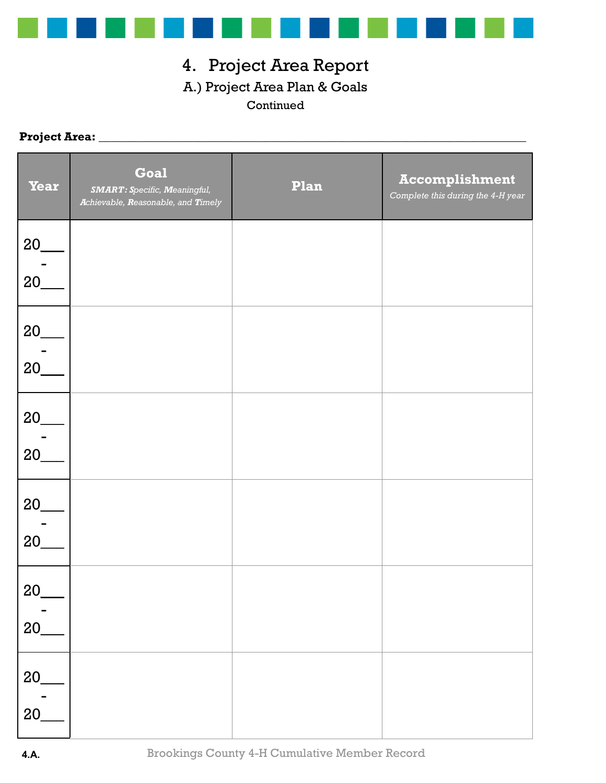

### 4. Project Area Report A.) Project Area Plan & Goals Continued

### **Project Area:** \_\_\_\_\_\_\_\_\_\_\_\_\_\_\_\_\_\_\_\_\_\_\_\_\_\_\_\_\_\_\_\_\_\_\_\_\_\_\_\_\_\_\_\_\_\_\_\_\_\_\_\_\_\_\_\_\_\_\_\_\_\_\_\_\_\_\_\_\_\_\_\_

| <b>Year</b> | <b>Goal</b><br><b>SMART: Specific, Meaningful,</b><br>Achievable, Reasonable, and Timely | Plan | <b>Accomplishment</b><br>Complete this during the 4-H year |
|-------------|------------------------------------------------------------------------------------------|------|------------------------------------------------------------|
| 20<br>20    |                                                                                          |      |                                                            |
| 20<br>20    |                                                                                          |      |                                                            |
| 20          |                                                                                          |      |                                                            |
| 20<br>20    |                                                                                          |      |                                                            |
| 20          |                                                                                          |      |                                                            |
| $20_$<br>20 |                                                                                          |      |                                                            |
| 20<br>20    |                                                                                          |      |                                                            |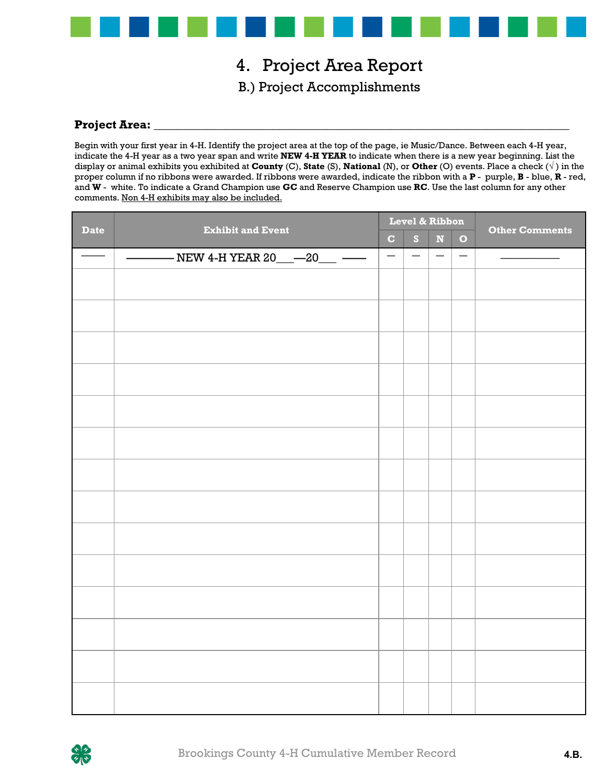

## 4. Project Area Report

B.) Project Accomplishments

#### Project Area:

Begin with your first year in 4-H. Identify the project area at the top of the page, ie Music/Dance. Between each 4-H year, indicate the 4-H year as a two year span and write **NEW 4-H YEAR** to indicate when there is a new year beginning. List the display or animal exhibits you exhibited at **County** (C), **State** (S), **National** (N), or **Other** (O) events. Place a check (√ ) in the proper column if no ribbons were awarded. If ribbons were awarded, indicate the ribbon with a **P** - purple, **B** - blue, **R** - red, and **W** - white. To indicate a Grand Champion use **GC** and Reserve Champion use **RC**. Use the last column for any other comments. Non 4-H exhibits may also be included.

| <b>Date</b> |                                                                                        | Level & Ribbon           |                          |                          |                          |                       |  |
|-------------|----------------------------------------------------------------------------------------|--------------------------|--------------------------|--------------------------|--------------------------|-----------------------|--|
|             | <b>Exhibit and Event</b>                                                               |                          | S                        | $\mathbf N$              | $\bullet$                | <b>Other Comments</b> |  |
|             | - NEW 4-H YEAR 20___ <sup>___</sup> 20___ <sup>_____</sup><br>$\overline{\phantom{0}}$ | $\overline{\phantom{m}}$ | $\overline{\phantom{m}}$ | $\overline{\phantom{m}}$ | $\overline{\phantom{m}}$ |                       |  |
|             |                                                                                        |                          |                          |                          |                          |                       |  |
|             |                                                                                        |                          |                          |                          |                          |                       |  |
|             |                                                                                        |                          |                          |                          |                          |                       |  |
|             |                                                                                        |                          |                          |                          |                          |                       |  |
|             |                                                                                        |                          |                          |                          |                          |                       |  |
|             |                                                                                        |                          |                          |                          |                          |                       |  |
|             |                                                                                        |                          |                          |                          |                          |                       |  |
|             |                                                                                        |                          |                          |                          |                          |                       |  |
|             |                                                                                        |                          |                          |                          |                          |                       |  |
|             |                                                                                        |                          |                          |                          |                          |                       |  |
|             |                                                                                        |                          |                          |                          |                          |                       |  |
|             |                                                                                        |                          |                          |                          |                          |                       |  |
|             |                                                                                        |                          |                          |                          |                          |                       |  |
|             |                                                                                        |                          |                          |                          |                          |                       |  |

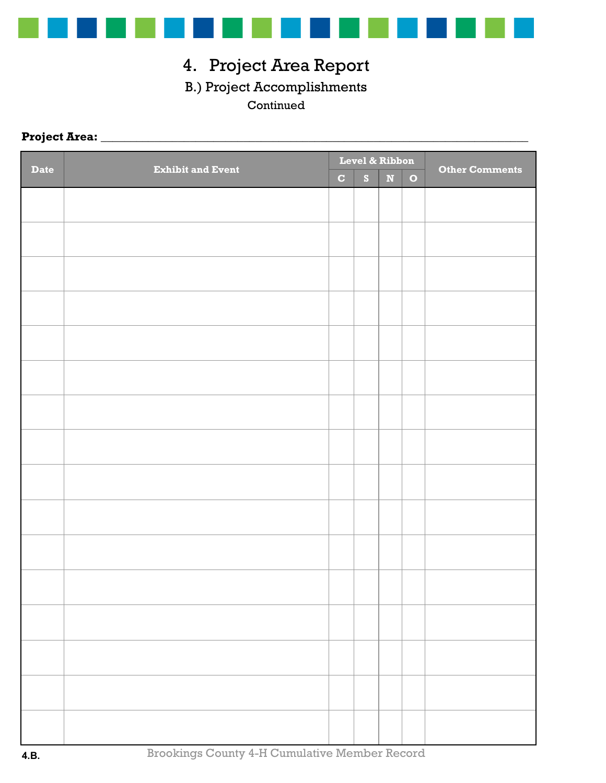

# 4. Project Area Report

### B.) Project Accomplishments

### Continued

### **Project Area:** \_\_\_\_\_\_\_\_\_\_\_\_\_\_\_\_\_\_\_\_\_\_\_\_\_\_\_\_\_\_\_\_\_\_\_\_\_\_\_\_\_\_\_\_\_\_\_\_\_\_\_\_\_\_\_\_\_\_\_\_\_\_\_\_\_\_\_\_\_\_\_\_

| <b>Date</b> | <b>Exhibit and Event</b> |              | Level & Ribbon |             |              | Other Comments |  |  |
|-------------|--------------------------|--------------|----------------|-------------|--------------|----------------|--|--|
|             |                          | $\mathbf{C}$ | $\mathbf{s}$   | $\mathbf N$ | $\mathbf{o}$ |                |  |  |
|             |                          |              |                |             |              |                |  |  |
|             |                          |              |                |             |              |                |  |  |
|             |                          |              |                |             |              |                |  |  |
|             |                          |              |                |             |              |                |  |  |
|             |                          |              |                |             |              |                |  |  |
|             |                          |              |                |             |              |                |  |  |
|             |                          |              |                |             |              |                |  |  |
|             |                          |              |                |             |              |                |  |  |
|             |                          |              |                |             |              |                |  |  |
|             |                          |              |                |             |              |                |  |  |
|             |                          |              |                |             |              |                |  |  |
|             |                          |              |                |             |              |                |  |  |
|             |                          |              |                |             |              |                |  |  |
|             |                          |              |                |             |              |                |  |  |
|             |                          |              |                |             |              |                |  |  |
|             |                          |              |                |             |              |                |  |  |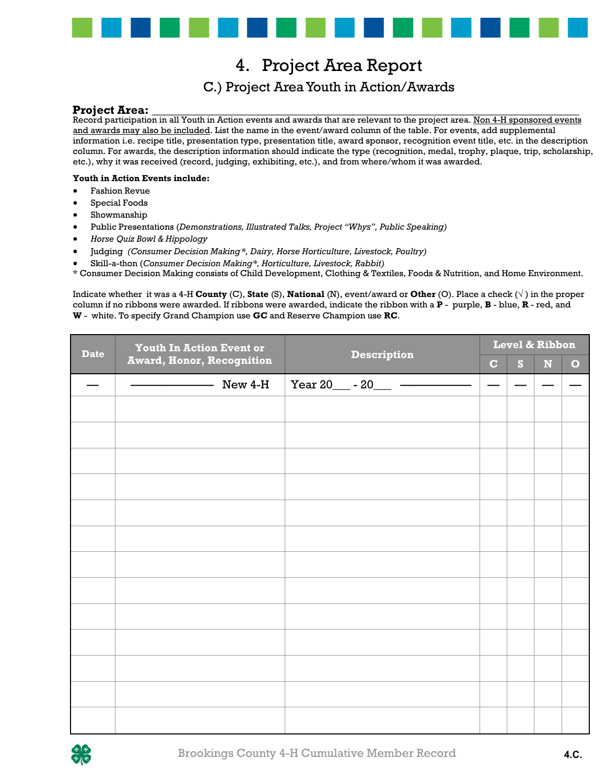

### 4. Project Area Report 4. Project Area Report C.) Project Area Youth in Action/Awards C.) Project Area Youth in Action/Awards

#### **Project Area:** \_\_\_\_\_\_\_\_\_\_\_\_\_\_\_\_\_\_\_\_\_\_\_\_\_\_\_\_\_\_\_\_\_\_\_\_\_\_\_\_\_\_\_\_\_\_\_\_\_\_\_\_\_\_\_\_\_\_\_\_\_\_\_\_\_\_\_\_\_\_\_\_ **Project Area:** \_\_\_\_\_\_\_\_\_\_\_\_\_\_\_\_\_\_\_\_\_\_\_\_\_\_\_\_\_\_\_\_\_\_\_\_\_\_\_\_\_\_\_\_\_\_\_\_\_\_\_\_\_\_\_\_\_\_\_\_\_\_\_\_\_\_\_\_\_\_\_\_

Record participation in all Youth in Action events and awards that are relevant to the project area. <u>Non 4-H sponsored events</u> and awards may also be included. List the name in the event/award column of the table. For events, add supplemental information i.e. recipe title, presentation type, presentation title, award sponsor, recognition event title, etc. in the description column. For awards, the description information should indicate the type (recognition, medal, trophy, plaque, trip, scholarship, etc.), why it was received (record, judging, exhibiting, etc.), and from where/whom it was awarded. Record participation in all Youth in Action events and awards that are relevant to the project area. Non 4-H sponsored events

#### **Youth in Action Events include: Youth in Action Events include:**

- Fashion Revue Fashion Revue
- Special Foods Special Foods
- Showmanship Showmanship
- Public Presentations (*Demonstrations, Illustrated Talks, Project "Whys", Public Speaking)* Public Presentations (*Demonstrations, Illustrated Talks, Project "Whys", Public Speaking)*
- *Horse Quiz Bowl & Hippology Horse Quiz Bowl & Hippology*
- Judging *(Consumer Decision Making \*, Dairy, Horse Horticulture, Livestock, Poultry)*
- Skill-a-thon (*Consumer Decision Making\*, Horticulture, Livestock, Rabbit)* Skill-a-thon (*Consumer Decision Making\*, Horticulture, Livestock, Rabbit)*

\* Consumer Decision Making consists of Child Development, Clothing & Textiles, Foods & Nutrition, and Home Environment.

Indicate whether it was a 4-H County (C), State (S), National (N), event/award or Other (O). Place a check ( $\sqrt{}$ ) in the proper column if no ribbons were awarded. If ribbons were awarded, indicate the ribbon with a  $P$ - purple,  $B$ - blue,  $R$ - red, and  $\bm{W}$  - white. To specify Grand Champion use  $\bm{G}\bm{C}$  and Reserve Champion use  $\bm{R}\bm{C}$ .

| <b>Date</b> | <b>Youth In Action Event or</b>  | <b>Description</b> | Level & Ribbon           |   |             |           |  |
|-------------|----------------------------------|--------------------|--------------------------|---|-------------|-----------|--|
|             | <b>Award, Honor, Recognition</b> |                    |                          | S | $\mathbf N$ | $\bullet$ |  |
|             | New 4-H                          |                    | $\overline{\phantom{0}}$ |   |             |           |  |
|             |                                  |                    |                          |   |             |           |  |
|             |                                  |                    |                          |   |             |           |  |
|             |                                  |                    |                          |   |             |           |  |
|             |                                  |                    |                          |   |             |           |  |
|             |                                  |                    |                          |   |             |           |  |
|             |                                  |                    |                          |   |             |           |  |
|             |                                  |                    |                          |   |             |           |  |
|             |                                  |                    |                          |   |             |           |  |
|             |                                  |                    |                          |   |             |           |  |
|             |                                  |                    |                          |   |             |           |  |
|             |                                  |                    |                          |   |             |           |  |
|             |                                  |                    |                          |   |             |           |  |
|             |                                  |                    |                          |   |             |           |  |
|             |                                  |                    |                          |   |             |           |  |